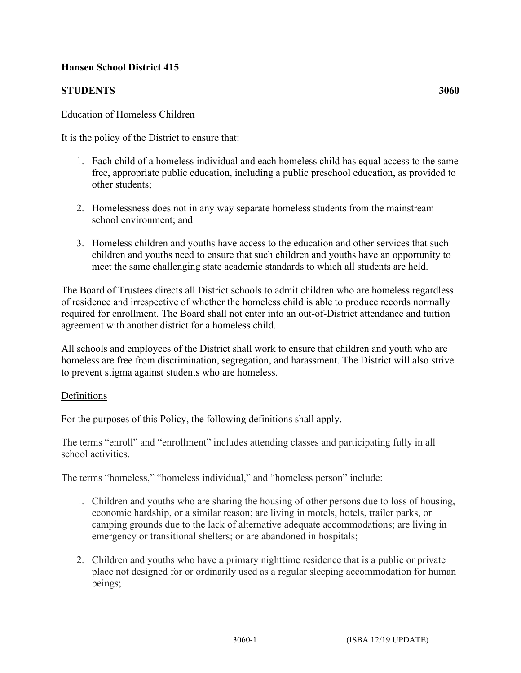# **Hansen School District 415**

# **STUDENTS 3060**

#### Education of Homeless Children

It is the policy of the District to ensure that:

- 1. Each child of a homeless individual and each homeless child has equal access to the same free, appropriate public education, including a public preschool education, as provided to other students;
- 2. Homelessness does not in any way separate homeless students from the mainstream school environment; and
- 3. Homeless children and youths have access to the education and other services that such children and youths need to ensure that such children and youths have an opportunity to meet the same challenging state academic standards to which all students are held.

The Board of Trustees directs all District schools to admit children who are homeless regardless of residence and irrespective of whether the homeless child is able to produce records normally required for enrollment. The Board shall not enter into an out-of-District attendance and tuition agreement with another district for a homeless child.

All schools and employees of the District shall work to ensure that children and youth who are homeless are free from discrimination, segregation, and harassment. The District will also strive to prevent stigma against students who are homeless.

#### Definitions

For the purposes of this Policy, the following definitions shall apply.

The terms "enroll" and "enrollment" includes attending classes and participating fully in all school activities.

The terms "homeless," "homeless individual," and "homeless person" include:

- 1. Children and youths who are sharing the housing of other persons due to loss of housing, economic hardship, or a similar reason; are living in motels, hotels, trailer parks, or camping grounds due to the lack of alternative adequate accommodations; are living in emergency or transitional shelters; or are abandoned in hospitals;
- 2. Children and youths who have a primary nighttime residence that is a public or private place not designed for or ordinarily used as a regular sleeping accommodation for human beings;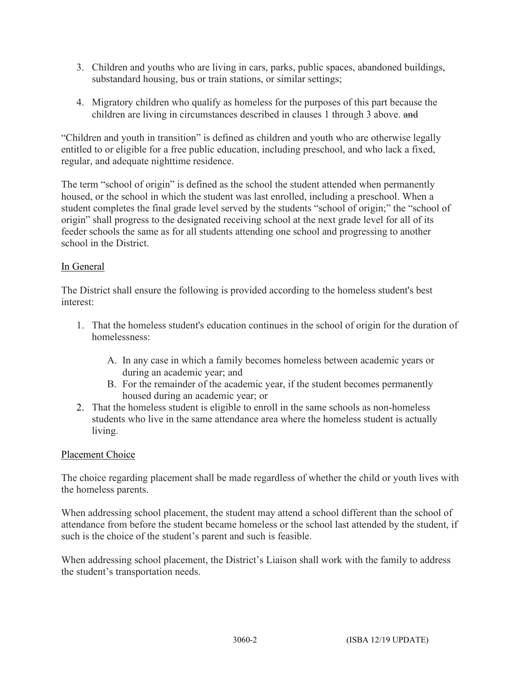- 3. Children and youths who are living in cars, parks, public spaces, abandoned buildings, substandard housing, bus or train stations, or similar settings;
- 4. Migratory children who qualify as homeless for the purposes of this part because the children are living in circumstances described in clauses 1 through 3 above. and

"Children and youth in transition" is defined as children and youth who are otherwise legally entitled to or eligible for a free public education, including preschool, and who lack a fixed, regular, and adequate nighttime residence.

The term "school of origin" is defined as the school the student attended when permanently housed, or the school in which the student was last enrolled, including a preschool. When a student completes the final grade level served by the students "school of origin;" the "school of origin" shall progress to the designated receiving school at the next grade level for all of its feeder schools the same as for all students attending one school and progressing to another school in the District.

## In General

The District shall ensure the following is provided according to the homeless student's best interest:

- 1. That the homeless student's education continues in the school of origin for the duration of homelessness:
	- A. In any case in which a family becomes homeless between academic years or during an academic year; and
	- B. For the remainder of the academic year, if the student becomes permanently housed during an academic year; or
- 2. That the homeless student is eligible to enroll in the same schools as non-homeless students who live in the same attendance area where the homeless student is actually living.

## Placement Choice

The choice regarding placement shall be made regardless of whether the child or youth lives with the homeless parents.

When addressing school placement, the student may attend a school different than the school of attendance from before the student became homeless or the school last attended by the student, if such is the choice of the student's parent and such is feasible.

When addressing school placement, the District's Liaison shall work with the family to address the student's transportation needs.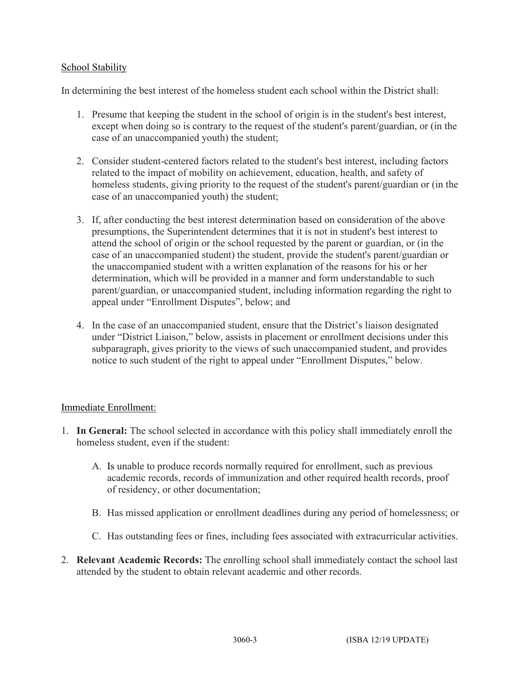## School Stability

In determining the best interest of the homeless student each school within the District shall:

- 1. Presume that keeping the student in the school of origin is in the student's best interest, except when doing so is contrary to the request of the student's parent/guardian, or (in the case of an unaccompanied youth) the student;
- 2. Consider student-centered factors related to the student's best interest, including factors related to the impact of mobility on achievement, education, health, and safety of homeless students, giving priority to the request of the student's parent/guardian or (in the case of an unaccompanied youth) the student;
- 3. If, after conducting the best interest determination based on consideration of the above presumptions, the Superintendent determines that it is not in student's best interest to attend the school of origin or the school requested by the parent or guardian, or (in the case of an unaccompanied student) the student, provide the student's parent/guardian or the unaccompanied student with a written explanation of the reasons for his or her determination, which will be provided in a manner and form understandable to such parent/guardian, or unaccompanied student, including information regarding the right to appeal under "Enrollment Disputes", below; and
- 4. In the case of an unaccompanied student, ensure that the District's liaison designated under "District Liaison," below, assists in placement or enrollment decisions under this subparagraph, gives priority to the views of such unaccompanied student, and provides notice to such student of the right to appeal under "Enrollment Disputes," below.

## Immediate Enrollment:

- 1. **In General:** The school selected in accordance with this policy shall immediately enroll the homeless student, even if the student:
	- A. Is unable to produce records normally required for enrollment, such as previous academic records, records of immunization and other required health records, proof of residency, or other documentation;
	- B. Has missed application or enrollment deadlines during any period of homelessness; or
	- C. Has outstanding fees or fines, including fees associated with extracurricular activities.
- 2. **Relevant Academic Records:** The enrolling school shall immediately contact the school last attended by the student to obtain relevant academic and other records.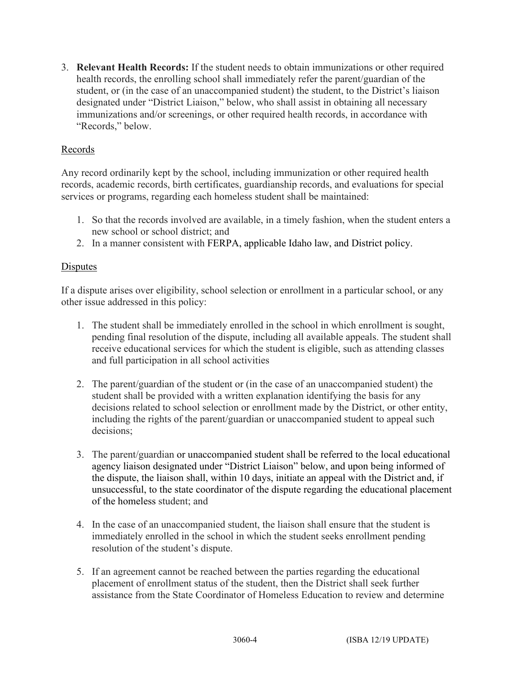3. **Relevant Health Records:** If the student needs to obtain immunizations or other required health records, the enrolling school shall immediately refer the parent/guardian of the student, or (in the case of an unaccompanied student) the student, to the District's liaison designated under "District Liaison," below, who shall assist in obtaining all necessary immunizations and/or screenings, or other required health records, in accordance with "Records," below.

### Records

Any record ordinarily kept by the school, including immunization or other required health records, academic records, birth certificates, guardianship records, and evaluations for special services or programs, regarding each homeless student shall be maintained:

- 1. So that the records involved are available, in a timely fashion, when the student enters a new school or school district; and
- 2. In a manner consistent with FERPA, applicable Idaho law, and District policy.

### Disputes

If a dispute arises over eligibility, school selection or enrollment in a particular school, or any other issue addressed in this policy:

- 1. The student shall be immediately enrolled in the school in which enrollment is sought, pending final resolution of the dispute, including all available appeals. The student shall receive educational services for which the student is eligible, such as attending classes and full participation in all school activities
- 2. The parent/guardian of the student or (in the case of an unaccompanied student) the student shall be provided with a written explanation identifying the basis for any decisions related to school selection or enrollment made by the District, or other entity, including the rights of the parent/guardian or unaccompanied student to appeal such decisions;
- 3. The parent/guardian or unaccompanied student shall be referred to the local educational agency liaison designated under "District Liaison" below, and upon being informed of the dispute, the liaison shall, within 10 days, initiate an appeal with the District and, if unsuccessful, to the state coordinator of the dispute regarding the educational placement of the homeless student; and
- 4. In the case of an unaccompanied student, the liaison shall ensure that the student is immediately enrolled in the school in which the student seeks enrollment pending resolution of the student's dispute.
- 5. If an agreement cannot be reached between the parties regarding the educational placement of enrollment status of the student, then the District shall seek further assistance from the State Coordinator of Homeless Education to review and determine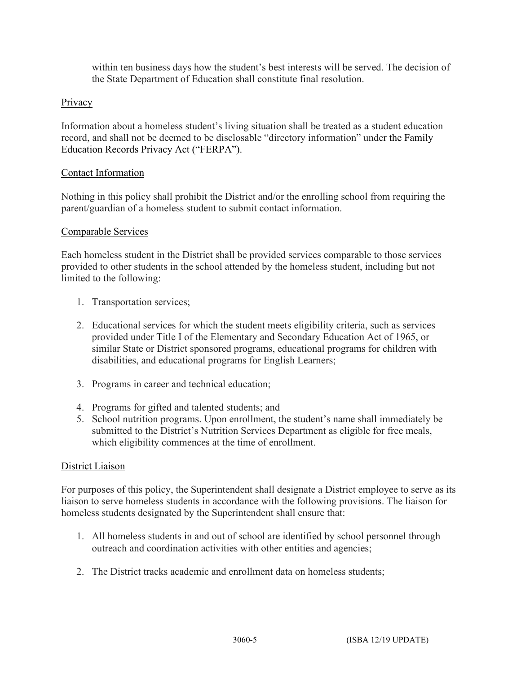within ten business days how the student's best interests will be served. The decision of the State Department of Education shall constitute final resolution.

## Privacy

Information about a homeless student's living situation shall be treated as a student education record, and shall not be deemed to be disclosable "directory information" under the Family Education Records Privacy Act ("FERPA").

### Contact Information

Nothing in this policy shall prohibit the District and/or the enrolling school from requiring the parent/guardian of a homeless student to submit contact information.

### Comparable Services

Each homeless student in the District shall be provided services comparable to those services provided to other students in the school attended by the homeless student, including but not limited to the following:

- 1. Transportation services;
- 2. Educational services for which the student meets eligibility criteria, such as services provided under Title I of the Elementary and Secondary Education Act of 1965, or similar State or District sponsored programs, educational programs for children with disabilities, and educational programs for English Learners;
- 3. Programs in career and technical education;
- 4. Programs for gifted and talented students; and
- 5. School nutrition programs. Upon enrollment, the student's name shall immediately be submitted to the District's Nutrition Services Department as eligible for free meals, which eligibility commences at the time of enrollment.

#### District Liaison

For purposes of this policy, the Superintendent shall designate a District employee to serve as its liaison to serve homeless students in accordance with the following provisions. The liaison for homeless students designated by the Superintendent shall ensure that:

- 1. All homeless students in and out of school are identified by school personnel through outreach and coordination activities with other entities and agencies;
- 2. The District tracks academic and enrollment data on homeless students;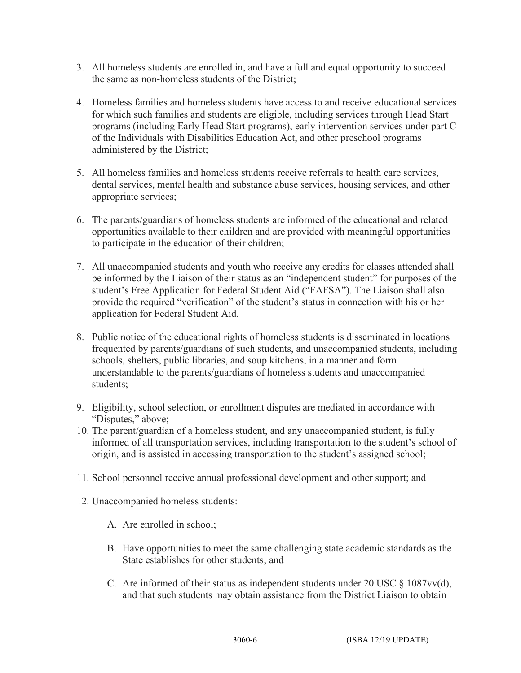- 3. All homeless students are enrolled in, and have a full and equal opportunity to succeed the same as non-homeless students of the District;
- 4. Homeless families and homeless students have access to and receive educational services for which such families and students are eligible, including services through Head Start programs (including Early Head Start programs), early intervention services under part C of the Individuals with Disabilities Education Act, and other preschool programs administered by the District;
- 5. All homeless families and homeless students receive referrals to health care services, dental services, mental health and substance abuse services, housing services, and other appropriate services;
- 6. The parents/guardians of homeless students are informed of the educational and related opportunities available to their children and are provided with meaningful opportunities to participate in the education of their children;
- 7. All unaccompanied students and youth who receive any credits for classes attended shall be informed by the Liaison of their status as an "independent student" for purposes of the student's Free Application for Federal Student Aid ("FAFSA"). The Liaison shall also provide the required "verification" of the student's status in connection with his or her application for Federal Student Aid.
- 8. Public notice of the educational rights of homeless students is disseminated in locations frequented by parents/guardians of such students, and unaccompanied students, including schools, shelters, public libraries, and soup kitchens, in a manner and form understandable to the parents/guardians of homeless students and unaccompanied students;
- 9. Eligibility, school selection, or enrollment disputes are mediated in accordance with "Disputes," above;
- 10. The parent/guardian of a homeless student, and any unaccompanied student, is fully informed of all transportation services, including transportation to the student's school of origin, and is assisted in accessing transportation to the student's assigned school;
- 11. School personnel receive annual professional development and other support; and
- 12. Unaccompanied homeless students:
	- A. Are enrolled in school;
	- B. Have opportunities to meet the same challenging state academic standards as the State establishes for other students; and
	- C. Are informed of their status as independent students under 20 USC  $\S$  1087vv(d), and that such students may obtain assistance from the District Liaison to obtain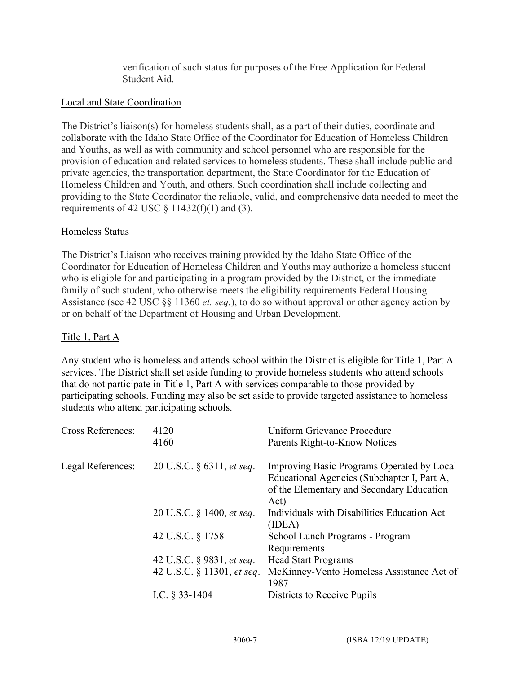verification of such status for purposes of the Free Application for Federal Student Aid.

### Local and State Coordination

The District's liaison(s) for homeless students shall, as a part of their duties, coordinate and collaborate with the Idaho State Office of the Coordinator for Education of Homeless Children and Youths, as well as with community and school personnel who are responsible for the provision of education and related services to homeless students. These shall include public and private agencies, the transportation department, the State Coordinator for the Education of Homeless Children and Youth, and others. Such coordination shall include collecting and providing to the State Coordinator the reliable, valid, and comprehensive data needed to meet the requirements of 42 USC  $\S$  11432(f)(1) and (3).

### Homeless Status

The District's Liaison who receives training provided by the Idaho State Office of the Coordinator for Education of Homeless Children and Youths may authorize a homeless student who is eligible for and participating in a program provided by the District, or the immediate family of such student, who otherwise meets the eligibility requirements Federal Housing Assistance (see 42 USC §§ 11360 *et. seq.*), to do so without approval or other agency action by or on behalf of the Department of Housing and Urban Development.

#### Title 1, Part A

Any student who is homeless and attends school within the District is eligible for Title 1, Part A services. The District shall set aside funding to provide homeless students who attend schools that do not participate in Title 1, Part A with services comparable to those provided by participating schools. Funding may also be set aside to provide targeted assistance to homeless students who attend participating schools.

| <b>Cross References:</b> | 4120<br>4160                     | Uniform Grievance Procedure<br>Parents Right-to-Know Notices                                                                                   |
|--------------------------|----------------------------------|------------------------------------------------------------------------------------------------------------------------------------------------|
| Legal References:        | 20 U.S.C. § 6311, et seq.        | Improving Basic Programs Operated by Local<br>Educational Agencies (Subchapter I, Part A,<br>of the Elementary and Secondary Education<br>Act) |
|                          | 20 U.S.C. § 1400, <i>et seq.</i> | Individuals with Disabilities Education Act<br>(IDEA)                                                                                          |
|                          | 42 U.S.C. § 1758                 | School Lunch Programs - Program<br>Requirements                                                                                                |
|                          | 42 U.S.C. § 9831, <i>et seq.</i> | <b>Head Start Programs</b>                                                                                                                     |
|                          | 42 U.S.C. § 11301, et seq.       | McKinney-Vento Homeless Assistance Act of<br>1987                                                                                              |
|                          | I.C. $\S$ 33-1404                | Districts to Receive Pupils                                                                                                                    |
|                          |                                  |                                                                                                                                                |